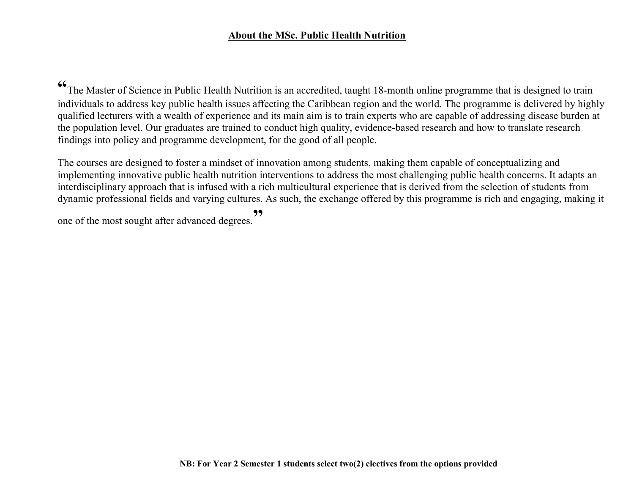## **About the MSc. Public Health Nutrition**

<sup>66</sup>The Master of Science in Public Health Nutrition is an accredited, taught 18-month online programme that is designed to train individuals to address key public health issues affecting the Caribbean region and the world. The programme is delivered by highly qualified lecturers with a wealth of experience and its main aim is to train experts who are capable of addressing disease burden at the population level. Our graduates are trained to conduct high quality, evidence-based research and how to translate research findings into policy and programme development, for the good of all people.

The courses are designed to foster a mindset of innovation among students, making them capable of conceptualizing and implementing innovative public health nutrition interventions to address the most challenging public health concerns. It adapts an interdisciplinary approach that is infused with a rich multicultural experience that is derived from the selection of students from dynamic professional fields and varying cultures. As such, the exchange offered by this programme is rich and engaging, making it

one of the most sought after advanced degrees. **"**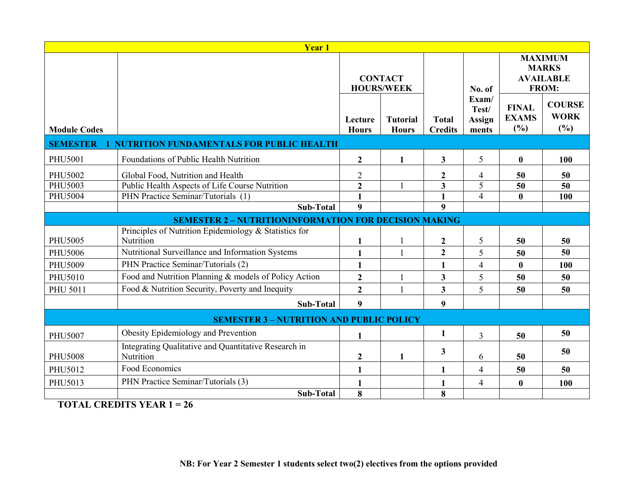| <b>Year 1</b>                                                      |                                                                   |                                     |                                 |                                |                                          |                                                             |                                     |  |  |  |  |  |
|--------------------------------------------------------------------|-------------------------------------------------------------------|-------------------------------------|---------------------------------|--------------------------------|------------------------------------------|-------------------------------------------------------------|-------------------------------------|--|--|--|--|--|
|                                                                    |                                                                   | <b>CONTACT</b><br><b>HOURS/WEEK</b> |                                 |                                | No. of                                   | <b>MAXIMUM</b><br><b>MARKS</b><br><b>AVAILABLE</b><br>FROM: |                                     |  |  |  |  |  |
| <b>Module Codes</b>                                                |                                                                   | Lecture<br><b>Hours</b>             | <b>Tutorial</b><br><b>Hours</b> | <b>Total</b><br><b>Credits</b> | Exam/<br>Test/<br><b>Assign</b><br>ments | <b>FINAL</b><br><b>EXAMS</b><br>(%)                         | <b>COURSE</b><br><b>WORK</b><br>(%) |  |  |  |  |  |
| <b>SEMESTER</b><br><b>NUTRITION FUNDAMENTALS FOR PUBLIC HEALTH</b> |                                                                   |                                     |                                 |                                |                                          |                                                             |                                     |  |  |  |  |  |
| PHU5001                                                            | Foundations of Public Health Nutrition                            | $\overline{2}$                      | $\mathbf{1}$                    | $\overline{\mathbf{3}}$        | 5                                        | $\bf{0}$                                                    | 100                                 |  |  |  |  |  |
| <b>PHU5002</b>                                                     | Global Food, Nutrition and Health                                 | $\overline{2}$                      |                                 | $\boldsymbol{2}$               | 4                                        | 50                                                          | 50                                  |  |  |  |  |  |
| PHU5003                                                            | Public Health Aspects of Life Course Nutrition                    | $\overline{2}$                      |                                 | $\overline{\mathbf{3}}$        | 5                                        | 50                                                          | $\overline{50}$                     |  |  |  |  |  |
| <b>PHU5004</b>                                                     | PHN Practice Seminar/Tutorials (1)                                | 1                                   |                                 | $\mathbf{1}$                   | $\overline{4}$                           | $\bf{0}$                                                    | 100                                 |  |  |  |  |  |
|                                                                    | <b>Sub-Total</b>                                                  | 9                                   |                                 | 9                              |                                          |                                                             |                                     |  |  |  |  |  |
|                                                                    | <b>SEMESTER 2 - NUTRITIONINFORMATION FOR DECISION MAKING</b>      |                                     |                                 |                                |                                          |                                                             |                                     |  |  |  |  |  |
|                                                                    | Principles of Nutrition Epidemiology & Statistics for             |                                     |                                 |                                |                                          |                                                             |                                     |  |  |  |  |  |
| <b>PHU5005</b>                                                     | Nutrition                                                         | 1                                   |                                 | $\boldsymbol{2}$               | 5                                        | 50                                                          | 50                                  |  |  |  |  |  |
| <b>PHU5006</b>                                                     | Nutritional Surveillance and Information Systems                  | $\mathbf{1}$                        |                                 | $\overline{2}$                 | 5                                        | 50                                                          | 50                                  |  |  |  |  |  |
| PHU5009                                                            | PHN Practice Seminar/Tutorials (2)                                | $\mathbf{1}$                        |                                 | $\mathbf{1}$                   | $\overline{4}$                           | $\bf{0}$                                                    | 100                                 |  |  |  |  |  |
| PHU5010                                                            | Food and Nutrition Planning & models of Policy Action             | $\mathbf{2}$                        |                                 | $\mathbf{3}$                   | 5                                        | 50                                                          | 50                                  |  |  |  |  |  |
| <b>PHU 5011</b>                                                    | Food & Nutrition Security, Poverty and Inequity                   | $\overline{2}$                      | $\mathbf{1}$                    | $\overline{\mathbf{3}}$        | 5                                        | 50                                                          | 50                                  |  |  |  |  |  |
|                                                                    | Sub-Total                                                         | 9                                   |                                 | 9                              |                                          |                                                             |                                     |  |  |  |  |  |
| <b>SEMESTER 3 - NUTRITION AND PUBLIC POLICY</b>                    |                                                                   |                                     |                                 |                                |                                          |                                                             |                                     |  |  |  |  |  |
| <b>PHU5007</b>                                                     | Obesity Epidemiology and Prevention                               | $\mathbf{1}$                        |                                 | $\mathbf{1}$                   | 3                                        | 50                                                          | 50                                  |  |  |  |  |  |
| <b>PHU5008</b>                                                     | Integrating Qualitative and Quantitative Research in<br>Nutrition | $\boldsymbol{2}$                    |                                 | 3                              | 6                                        | 50                                                          | 50                                  |  |  |  |  |  |
| PHU5012                                                            | Food Economics                                                    | 1                                   |                                 | 1                              | $\overline{4}$                           | 50                                                          | 50                                  |  |  |  |  |  |
| PHU5013                                                            | PHN Practice Seminar/Tutorials (3)                                | 1                                   |                                 | $\mathbf{1}$                   | $\overline{4}$                           | $\bf{0}$                                                    | 100                                 |  |  |  |  |  |
|                                                                    | <b>Sub-Total</b>                                                  | 8                                   |                                 | 8                              |                                          |                                                             |                                     |  |  |  |  |  |

**TOTAL CREDITS YEAR 1 = 26**